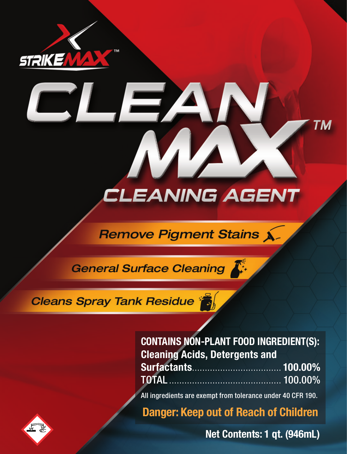

# **CLEANING AGENT**

## **Remove Pigment Stains X-**

General Surface Cleaning

 $\overline{\phantom{a}}$ 

## Cleans Spray Tank Residue

| <b>CONTAINS NON-PLANT FOOD INGREDIENT(S):</b><br><b>Cleaning Acids, Detergents and</b> |  |
|----------------------------------------------------------------------------------------|--|
|                                                                                        |  |
| <b>TOTAL</b> 2000 100.00%                                                              |  |

All ingredients are exempt from tolerance under 40 CFR 190.

**Danger: Keep out of Reach of Children**

**Net Contents: 1 qt. (946mL)** 

TΜ